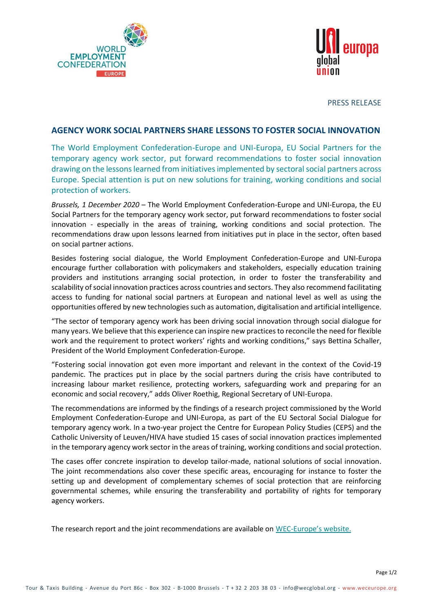



PRESS RELEASE

## **AGENCY WORK SOCIAL PARTNERS SHARE LESSONS TO FOSTER SOCIAL INNOVATION**

The World Employment Confederation-Europe and UNI-Europa, EU Social Partners for the temporary agency work sector, put forward recommendations to foster social innovation drawing on the lessons learned from initiatives implemented by sectoral social partners across Europe. Special attention is put on new solutions for training, working conditions and social protection of workers.

*Brussels, 1 December 2020* – The World Employment Confederation-Europe and UNI-Europa, the EU Social Partners for the temporary agency work sector, put forward recommendations to foster social innovation - especially in the areas of training, working conditions and social protection. The recommendations draw upon lessons learned from initiatives put in place in the sector, often based on social partner actions.

Besides fostering social dialogue, the World Employment Confederation-Europe and UNI-Europa encourage further collaboration with policymakers and stakeholders, especially education training providers and institutions arranging social protection, in order to foster the transferability and scalability of social innovation practices across countries and sectors. They also recommend facilitating access to funding for national social partners at European and national level as well as using the opportunities offered by new technologies such as automation, digitalisation and artificial intelligence.

"The sector of temporary agency work has been driving social innovation through social dialogue for many years. We believe that this experience can inspire new practices to reconcile the need for flexible work and the requirement to protect workers' rights and working conditions," says Bettina Schaller, President of the World Employment Confederation-Europe.

"Fostering social innovation got even more important and relevant in the context of the Covid-19 pandemic. The practices put in place by the social partners during the crisis have contributed to increasing labour market resilience, protecting workers, safeguarding work and preparing for an economic and social recovery," adds Oliver Roethig, Regional Secretary of UNI-Europa.

The recommendations are informed by the findings of a research project commissioned by the World Employment Confederation-Europe and UNI-Europa, as part of the EU Sectoral Social Dialogue for temporary agency work. In a two-year project the Centre for European Policy Studies (CEPS) and the Catholic University of Leuven/HIVA have studied 15 cases of social innovation practices implemented in the temporary agency work sector in the areas of training, working conditions and social protection.

The cases offer concrete inspiration to develop tailor-made, national solutions of social innovation. The joint recommendations also cover these specific areas, encouraging for instance to foster the setting up and development of complementary schemes of social protection that are reinforcing governmental schemes, while ensuring the transferability and portability of rights for temporary agency workers.

The research report and the joint recommendations are available on WEC-[Europe's](https://www.weceurope.org/press-release-post/agency-work-social-partners-share-lessons-to-foster-social-innovation/) website.